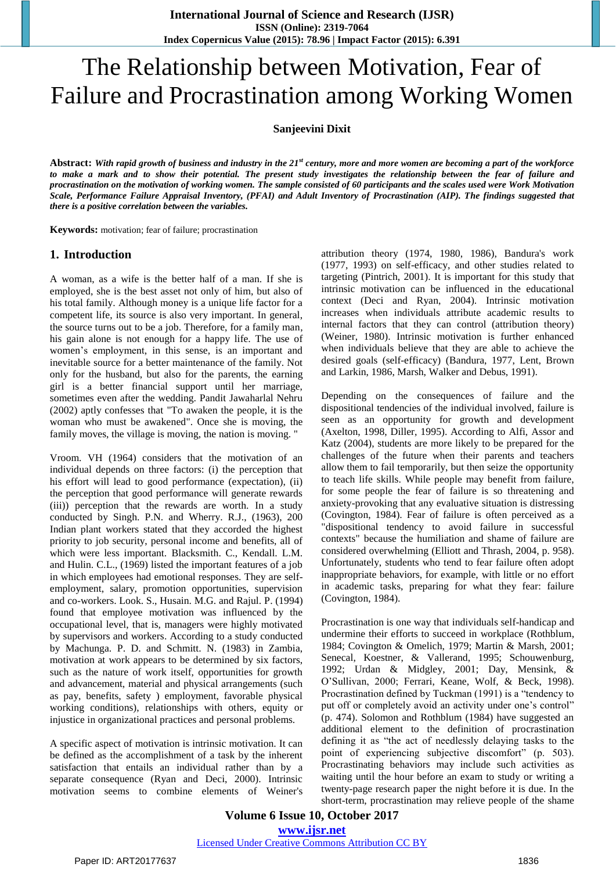# The Relationship between Motivation, Fear of Failure and Procrastination among Working Women

**Sanjeevini Dixit**

**Abstract:** *With rapid growth of business and industry in the 21st century, more and more women are becoming a part of the workforce to make a mark and to show their potential. The present study investigates the relationship between the fear of failure and procrastination on the motivation of working women. The sample consisted of 60 participants and the scales used were Work Motivation Scale, Performance Failure Appraisal Inventory, (PFAI) and Adult Inventory of Procrastination (AIP). The findings suggested that there is a positive correlation between the variables.*

**Keywords:** motivation; fear of failure; procrastination

#### **1. Introduction**

A woman, as a wife is the better half of a man. If she is employed, she is the best asset not only of him, but also of his total family. Although money is a unique life factor for a competent life, its source is also very important. In general, the source turns out to be a job. Therefore, for a family man, his gain alone is not enough for a happy life. The use of women's employment, in this sense, is an important and inevitable source for a better maintenance of the family. Not only for the husband, but also for the parents, the earning girl is a better financial support until her marriage, sometimes even after the wedding. Pandit Jawaharlal Nehru (2002) aptly confesses that "To awaken the people, it is the woman who must be awakened". Once she is moving, the family moves, the village is moving, the nation is moving. "

Vroom. VH (1964) considers that the motivation of an individual depends on three factors: (i) the perception that his effort will lead to good performance (expectation), (ii) the perception that good performance will generate rewards (iii)) perception that the rewards are worth. In a study conducted by Singh. P.N. and Wherry. R.J., (1963), 200 Indian plant workers stated that they accorded the highest priority to job security, personal income and benefits, all of which were less important. Blacksmith. C., Kendall. L.M. and Hulin. C.L., (1969) listed the important features of a job in which employees had emotional responses. They are selfemployment, salary, promotion opportunities, supervision and co-workers. Look. S., Husain. M.G. and Rajul. P. (1994) found that employee motivation was influenced by the occupational level, that is, managers were highly motivated by supervisors and workers. According to a study conducted by Machunga. P. D. and Schmitt. N. (1983) in Zambia, motivation at work appears to be determined by six factors, such as the nature of work itself, opportunities for growth and advancement, material and physical arrangements (such as pay, benefits, safety ) employment, favorable physical working conditions), relationships with others, equity or injustice in organizational practices and personal problems.

A specific aspect of motivation is intrinsic motivation. It can be defined as the accomplishment of a task by the inherent satisfaction that entails an individual rather than by a separate consequence (Ryan and Deci, 2000). Intrinsic motivation seems to combine elements of Weiner's

attribution theory (1974, 1980, 1986), Bandura's work (1977, 1993) on self-efficacy, and other studies related to targeting (Pintrich, 2001). It is important for this study that intrinsic motivation can be influenced in the educational context (Deci and Ryan, 2004). Intrinsic motivation increases when individuals attribute academic results to internal factors that they can control (attribution theory) (Weiner, 1980). Intrinsic motivation is further enhanced when individuals believe that they are able to achieve the desired goals (self-efficacy) (Bandura, 1977, Lent, Brown and Larkin, 1986, Marsh, Walker and Debus, 1991).

Depending on the consequences of failure and the dispositional tendencies of the individual involved, failure is seen as an opportunity for growth and development (Axelton, 1998, Diller, 1995). According to Alfi, Assor and Katz (2004), students are more likely to be prepared for the challenges of the future when their parents and teachers allow them to fail temporarily, but then seize the opportunity to teach life skills. While people may benefit from failure, for some people the fear of failure is so threatening and anxiety-provoking that any evaluative situation is distressing (Covington, 1984). Fear of failure is often perceived as a "dispositional tendency to avoid failure in successful contexts" because the humiliation and shame of failure are considered overwhelming (Elliott and Thrash, 2004, p. 958). Unfortunately, students who tend to fear failure often adopt inappropriate behaviors, for example, with little or no effort in academic tasks, preparing for what they fear: failure (Covington, 1984).

Procrastination is one way that individuals self-handicap and undermine their efforts to succeed in workplace (Rothblum, 1984; Covington & Omelich, 1979; Martin & Marsh, 2001; Senecal, Koestner, & Vallerand, 1995; Schouwenburg, 1992; Urdan & Midgley, 2001; Day, Mensink, & O'Sullivan, 2000; Ferrari, Keane, Wolf, & Beck, 1998). Procrastination defined by Tuckman (1991) is a "tendency to put off or completely avoid an activity under one's control" (p. 474). Solomon and Rothblum (1984) have suggested an additional element to the definition of procrastination defining it as "the act of needlessly delaying tasks to the point of experiencing subjective discomfort" (p. 503). Procrastinating behaviors may include such activities as waiting until the hour before an exam to study or writing a twenty-page research paper the night before it is due. In the short-term, procrastination may relieve people of the shame

**Volume 6 Issue 10, October 2017 <www.ijsr.net>** [Licensed Under Creative Commons Attribution CC BY](http://creativecommons.org/licenses/by/4.0/)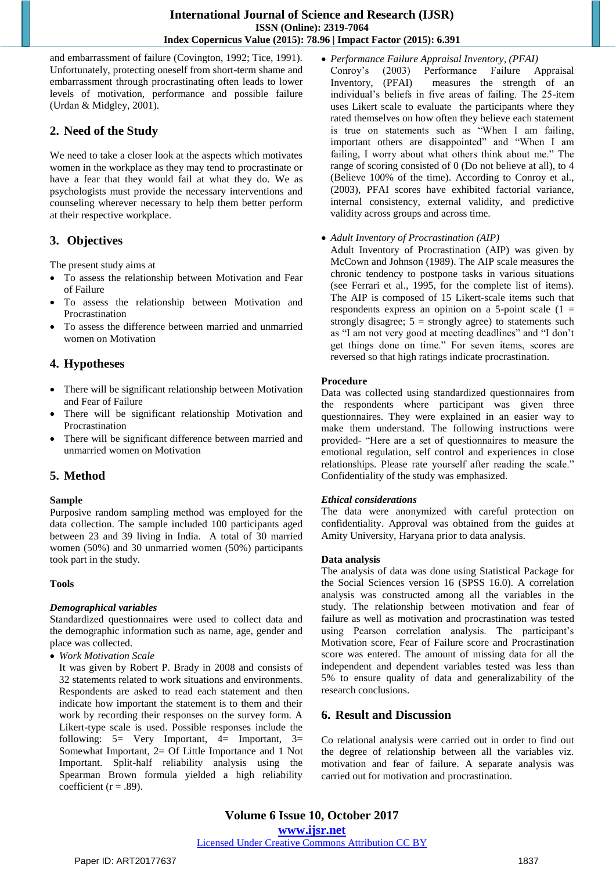and embarrassment of failure (Covington, 1992; Tice, 1991). Unfortunately, protecting oneself from short-term shame and embarrassment through procrastinating often leads to lower levels of motivation, performance and possible failure (Urdan & Midgley, 2001).

# **2. Need of the Study**

We need to take a closer look at the aspects which motivates women in the workplace as they may tend to procrastinate or have a fear that they would fail at what they do. We as psychologists must provide the necessary interventions and counseling wherever necessary to help them better perform at their respective workplace.

# **3. Objectives**

The present study aims at

- To assess the relationship between Motivation and Fear of Failure
- To assess the relationship between Motivation and Procrastination
- To assess the difference between married and unmarried women on Motivation

# **4. Hypotheses**

- There will be significant relationship between Motivation and Fear of Failure
- There will be significant relationship Motivation and Procrastination
- There will be significant difference between married and unmarried women on Motivation

# **5. Method**

#### **Sample**

Purposive random sampling method was employed for the data collection. The sample included 100 participants aged between 23 and 39 living in India. A total of 30 married women (50%) and 30 unmarried women (50%) participants took part in the study.

#### **Tools**

#### *Demographical variables*

Standardized questionnaires were used to collect data and the demographic information such as name, age, gender and place was collected.

*Work Motivation Scale*

It was given by Robert P. Brady in 2008 and consists of 32 statements related to work situations and environments. Respondents are asked to read each statement and then indicate how important the statement is to them and their work by recording their responses on the survey form. A Likert-type scale is used. Possible responses include the following:  $5=$  Very Important,  $4=$  Important,  $3=$ Somewhat Important, 2= Of Little Importance and 1 Not Important. Split-half reliability analysis using the Spearman Brown formula yielded a high reliability coefficient ( $r = .89$ ).

 *Performance Failure Appraisal Inventory, (PFAI)* Conroy's (2003) Performance Failure Appraisal Inventory, (PFAI) measures the strength of an individual's beliefs in five areas of failing. The 25-item uses Likert scale to evaluate the participants where they rated themselves on how often they believe each statement is true on statements such as "When I am failing, important others are disappointed" and "When I am failing, I worry about what others think about me." The range of scoring consisted of 0 (Do not believe at all), to 4 (Believe 100% of the time). According to Conroy et al., (2003), PFAI scores have exhibited factorial variance, internal consistency, external validity, and predictive validity across groups and across time.

#### *Adult Inventory of Procrastination (AIP)*

Adult Inventory of Procrastination (AIP) was given by McCown and Johnson (1989). The AIP scale measures the chronic tendency to postpone tasks in various situations (see Ferrari et al., 1995, for the complete list of items). The AIP is composed of 15 Likert-scale items such that respondents express an opinion on a 5-point scale  $(1 =$ strongly disagree;  $5 =$  strongly agree) to statements such as "I am not very good at meeting deadlines" and "I don't get things done on time." For seven items, scores are reversed so that high ratings indicate procrastination.

#### **Procedure**

Data was collected using standardized questionnaires from the respondents where participant was given three questionnaires. They were explained in an easier way to make them understand. The following instructions were provided- "Here are a set of questionnaires to measure the emotional regulation, self control and experiences in close relationships. Please rate yourself after reading the scale." Confidentiality of the study was emphasized.

#### *Ethical considerations*

The data were anonymized with careful protection on confidentiality. Approval was obtained from the guides at Amity University, Haryana prior to data analysis.

#### **Data analysis**

The analysis of data was done using Statistical Package for the Social Sciences version 16 (SPSS 16.0). A correlation analysis was constructed among all the variables in the study. The relationship between motivation and fear of failure as well as motivation and procrastination was tested using Pearson correlation analysis. The participant's Motivation score, Fear of Failure score and Procrastination score was entered. The amount of missing data for all the independent and dependent variables tested was less than 5% to ensure quality of data and generalizability of the research conclusions.

# **6. Result and Discussion**

Co relational analysis were carried out in order to find out the degree of relationship between all the variables viz. motivation and fear of failure. A separate analysis was carried out for motivation and procrastination.

**Volume 6 Issue 10, October 2017 <www.ijsr.net>** [Licensed Under Creative Commons Attribution CC BY](http://creativecommons.org/licenses/by/4.0/)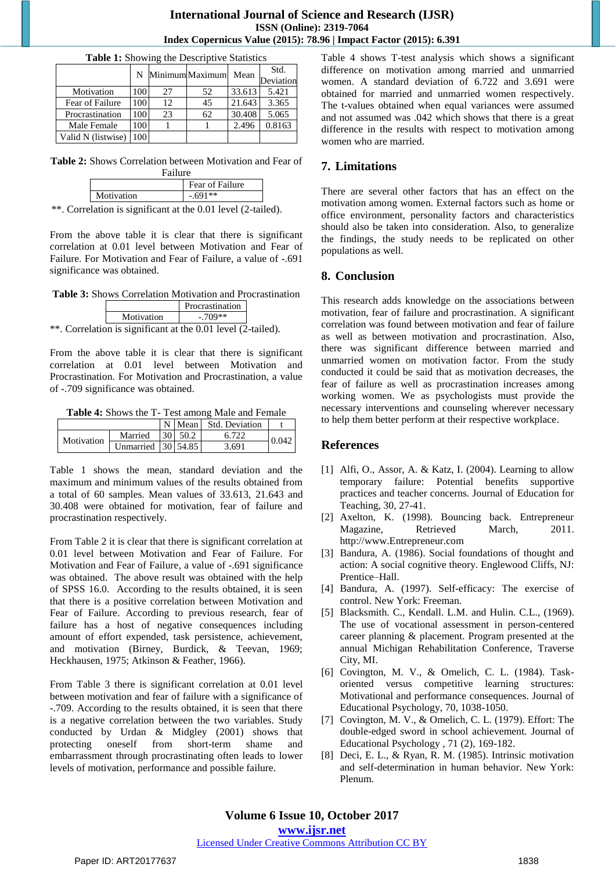| <b>Table 1:</b> Snowing the Descriptive Statistics |     |    |                  |        |           |  |  |  |  |
|----------------------------------------------------|-----|----|------------------|--------|-----------|--|--|--|--|
|                                                    |     |    | N MinimumMaximum | Mean   | Std.      |  |  |  |  |
|                                                    |     |    |                  |        | Deviation |  |  |  |  |
| Motivation                                         | 100 | 27 | 52               | 33.613 | 5.421     |  |  |  |  |
| Fear of Failure                                    | 100 | 12 | 45               | 21.643 | 3.365     |  |  |  |  |
| Procrastination                                    | 100 | 23 | 62               | 30.408 | 5.065     |  |  |  |  |
| Male Female                                        | 100 |    |                  | 2.496  | 0.8163    |  |  |  |  |
| Valid N (listwise)                                 | 100 |    |                  |        |           |  |  |  |  |

**Table 1:** Showing the Descriptive Statistics

**Table 2:** Shows Correlation between Motivation and Fear of Failure

| .          |                 |  |  |  |  |
|------------|-----------------|--|--|--|--|
|            | Fear of Failure |  |  |  |  |
| Motivation | $-.691**$       |  |  |  |  |
|            |                 |  |  |  |  |

\*\*. Correlation is significant at the 0.01 level (2-tailed).

From the above table it is clear that there is significant correlation at 0.01 level between Motivation and Fear of Failure. For Motivation and Fear of Failure, a value of -.691 significance was obtained.

**Table 3:** Shows Correlation Motivation and Procrastination

|                | Procrastination |  |  |
|----------------|-----------------|--|--|
| Motivation     | $-709**$        |  |  |
| $\cdot$ $\sim$ | 0.011           |  |  |

\*\*. Correlation is significant at the 0.01 level (2-tailed).

From the above table it is clear that there is significant correlation at 0.01 level between Motivation and Procrastination. For Motivation and Procrastination, a value of -.709 significance was obtained.

**Table 4:** Shows the T- Test among Male and Female

|            |                    |  |                | N   Mean   Std. Deviation |       |  |
|------------|--------------------|--|----------------|---------------------------|-------|--|
| Motivation | Married            |  | $30 \mid 50.2$ |                           | 0.042 |  |
|            | Unmarried 30 54.85 |  |                | 3.691                     |       |  |

Table 1 shows the mean, standard deviation and the maximum and minimum values of the results obtained from a total of 60 samples. Mean values of 33.613, 21.643 and 30.408 were obtained for motivation, fear of failure and procrastination respectively.

From Table 2 it is clear that there is significant correlation at 0.01 level between Motivation and Fear of Failure. For Motivation and Fear of Failure, a value of -.691 significance was obtained. The above result was obtained with the help of SPSS 16.0. According to the results obtained, it is seen that there is a positive correlation between Motivation and Fear of Failure. According to previous research, fear of failure has a host of negative consequences including amount of effort expended, task persistence, achievement, and motivation (Birney, Burdick, & Teevan, 1969; Heckhausen, 1975; Atkinson & Feather, 1966).

From Table 3 there is significant correlation at 0.01 level between motivation and fear of failure with a significance of -.709. According to the results obtained, it is seen that there is a negative correlation between the two variables. Study conducted by Urdan & Midgley (2001) shows that protecting oneself from short-term shame and embarrassment through procrastinating often leads to lower levels of motivation, performance and possible failure.

Table 4 shows T-test analysis which shows a significant difference on motivation among married and unmarried women. A standard deviation of 6.722 and 3.691 were obtained for married and unmarried women respectively. The t-values obtained when equal variances were assumed and not assumed was .042 which shows that there is a great difference in the results with respect to motivation among women who are married.

# **7. Limitations**

There are several other factors that has an effect on the motivation among women. External factors such as home or office environment, personality factors and characteristics should also be taken into consideration. Also, to generalize the findings, the study needs to be replicated on other populations as well.

# **8. Conclusion**

This research adds knowledge on the associations between motivation, fear of failure and procrastination. A significant correlation was found between motivation and fear of failure as well as between motivation and procrastination. Also, there was significant difference between married and unmarried women on motivation factor. From the study conducted it could be said that as motivation decreases, the fear of failure as well as procrastination increases among working women. We as psychologists must provide the necessary interventions and counseling wherever necessary to help them better perform at their respective workplace.

# **References**

- [1] Alfi, O., Assor, A. & Katz, I. (2004). Learning to allow temporary failure: Potential benefits supportive practices and teacher concerns. Journal of Education for Teaching, 30, 27-41.
- [2] Axelton, K. (1998). Bouncing back. Entrepreneur Magazine, Retrieved March, 2011. http://www.Entrepreneur.com
- [3] Bandura, A. (1986). Social foundations of thought and action: A social cognitive theory. Englewood Cliffs, NJ: Prentice–Hall.
- [4] Bandura, A. (1997). Self-efficacy: The exercise of control. New York: Freeman.
- [5] Blacksmith. C., Kendall. L.M. and Hulin. C.L., (1969). The use of vocational assessment in person-centered career planning & placement. Program presented at the annual Michigan Rehabilitation Conference, Traverse City, MI.
- [6] Covington, M. V., & Omelich, C. L. (1984). Taskoriented versus competitive learning structures: Motivational and performance consequences. Journal of Educational Psychology, 70, 1038-1050.
- [7] Covington, M. V., & Omelich, C. L. (1979). Effort: The double-edged sword in school achievement. Journal of Educational Psychology , 71 (2), 169-182.
- [8] Deci, E. L., & Ryan, R. M. (1985). Intrinsic motivation and self-determination in human behavior. New York: Plenum.

### [Licensed Under Creative Commons Attribution CC BY](http://creativecommons.org/licenses/by/4.0/)